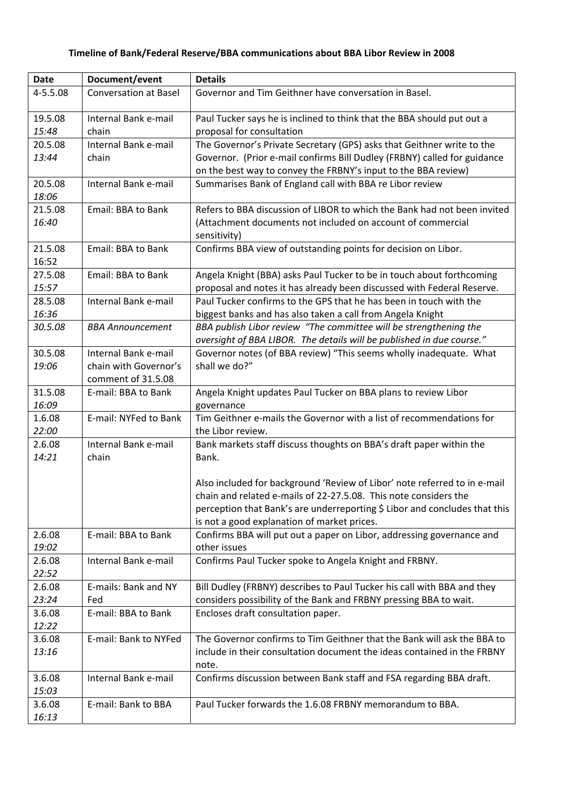| <b>Date</b>      | Document/event               | <b>Details</b>                                                                                                                                  |
|------------------|------------------------------|-------------------------------------------------------------------------------------------------------------------------------------------------|
| 4-5.5.08         | <b>Conversation at Basel</b> | Governor and Tim Geithner have conversation in Basel.                                                                                           |
|                  |                              |                                                                                                                                                 |
| 19.5.08          | Internal Bank e-mail         | Paul Tucker says he is inclined to think that the BBA should put out a                                                                          |
| 15:48            | chain                        | proposal for consultation                                                                                                                       |
| 20.5.08          | Internal Bank e-mail         | The Governor's Private Secretary (GPS) asks that Geithner write to the                                                                          |
| 13:44            | chain                        | Governor. (Prior e-mail confirms Bill Dudley (FRBNY) called for guidance                                                                        |
|                  |                              | on the best way to convey the FRBNY's input to the BBA review)                                                                                  |
| 20.5.08          | Internal Bank e-mail         | Summarises Bank of England call with BBA re Libor review                                                                                        |
| 18:06            |                              |                                                                                                                                                 |
| 21.5.08          | <b>Email: BBA to Bank</b>    | Refers to BBA discussion of LIBOR to which the Bank had not been invited                                                                        |
| 16:40            |                              | (Attachment documents not included on account of commercial                                                                                     |
|                  |                              | sensitivity)                                                                                                                                    |
| 21.5.08          | Email: BBA to Bank           | Confirms BBA view of outstanding points for decision on Libor.                                                                                  |
| 16:52            |                              |                                                                                                                                                 |
| 27.5.08<br>15:57 | Email: BBA to Bank           | Angela Knight (BBA) asks Paul Tucker to be in touch about forthcoming<br>proposal and notes it has already been discussed with Federal Reserve. |
| 28.5.08          | Internal Bank e-mail         | Paul Tucker confirms to the GPS that he has been in touch with the                                                                              |
| 16:36            |                              | biggest banks and has also taken a call from Angela Knight                                                                                      |
| 30.5.08          | <b>BBA Announcement</b>      | BBA publish Libor review "The committee will be strengthening the                                                                               |
|                  |                              | oversight of BBA LIBOR. The details will be published in due course."                                                                           |
| 30.5.08          | Internal Bank e-mail         | Governor notes (of BBA review) "This seems wholly inadequate. What                                                                              |
| 19:06            | chain with Governor's        | shall we do?"                                                                                                                                   |
|                  | comment of 31.5.08           |                                                                                                                                                 |
| 31.5.08          | E-mail: BBA to Bank          | Angela Knight updates Paul Tucker on BBA plans to review Libor                                                                                  |
| 16:09            |                              | governance                                                                                                                                      |
| 1.6.08           | E-mail: NYFed to Bank        | Tim Geithner e-mails the Governor with a list of recommendations for                                                                            |
| 22:00            |                              | the Libor review.                                                                                                                               |
| 2.6.08           | Internal Bank e-mail         | Bank markets staff discuss thoughts on BBA's draft paper within the                                                                             |
| 14:21            | chain                        | Bank.                                                                                                                                           |
|                  |                              |                                                                                                                                                 |
|                  |                              | Also included for background 'Review of Libor' note referred to in e-mail                                                                       |
|                  |                              | chain and related e-mails of 22-27.5.08. This note considers the                                                                                |
|                  |                              | perception that Bank's are underreporting \$ Libor and concludes that this                                                                      |
|                  |                              | is not a good explanation of market prices.                                                                                                     |
| 2.6.08           | E-mail: BBA to Bank          | Confirms BBA will put out a paper on Libor, addressing governance and                                                                           |
| 19:02            |                              | other issues                                                                                                                                    |
| 2.6.08           | Internal Bank e-mail         | Confirms Paul Tucker spoke to Angela Knight and FRBNY.                                                                                          |
| 22:52            |                              |                                                                                                                                                 |
| 2.6.08           | E-mails: Bank and NY         | Bill Dudley (FRBNY) describes to Paul Tucker his call with BBA and they                                                                         |
| 23:24            | Fed                          | considers possibility of the Bank and FRBNY pressing BBA to wait.                                                                               |
| 3.6.08           | E-mail: BBA to Bank          | Encloses draft consultation paper.                                                                                                              |
| 12:22            |                              |                                                                                                                                                 |
| 3.6.08           | E-mail: Bank to NYFed        | The Governor confirms to Tim Geithner that the Bank will ask the BBA to                                                                         |
| 13:16            |                              | include in their consultation document the ideas contained in the FRBNY                                                                         |
|                  |                              | note.                                                                                                                                           |
| 3.6.08           | Internal Bank e-mail         | Confirms discussion between Bank staff and FSA regarding BBA draft.                                                                             |
| 15:03            |                              |                                                                                                                                                 |
| 3.6.08           | E-mail: Bank to BBA          | Paul Tucker forwards the 1.6.08 FRBNY memorandum to BBA.                                                                                        |
| 16:13            |                              |                                                                                                                                                 |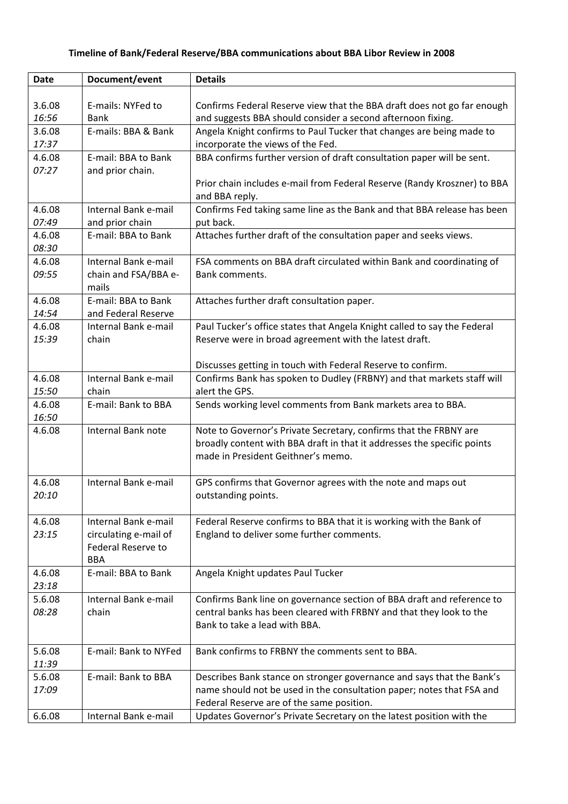## **Timeline of Bank/Federal Reserve/BBA communications about BBA Libor Review in 2008**

| <b>Date</b> | Document/event            | <b>Details</b>                                                                                       |
|-------------|---------------------------|------------------------------------------------------------------------------------------------------|
|             |                           |                                                                                                      |
| 3.6.08      | E-mails: NYFed to         | Confirms Federal Reserve view that the BBA draft does not go far enough                              |
| 16:56       | <b>Bank</b>               | and suggests BBA should consider a second afternoon fixing.                                          |
| 3.6.08      | E-mails: BBA & Bank       | Angela Knight confirms to Paul Tucker that changes are being made to                                 |
| 17:37       |                           | incorporate the views of the Fed.                                                                    |
| 4.6.08      | E-mail: BBA to Bank       | BBA confirms further version of draft consultation paper will be sent.                               |
| 07:27       | and prior chain.          |                                                                                                      |
|             |                           | Prior chain includes e-mail from Federal Reserve (Randy Kroszner) to BBA<br>and BBA reply.           |
| 4.6.08      | Internal Bank e-mail      | Confirms Fed taking same line as the Bank and that BBA release has been                              |
| 07:49       | and prior chain           | put back.                                                                                            |
| 4.6.08      | E-mail: BBA to Bank       | Attaches further draft of the consultation paper and seeks views.                                    |
| 08:30       |                           |                                                                                                      |
| 4.6.08      | Internal Bank e-mail      | FSA comments on BBA draft circulated within Bank and coordinating of                                 |
| 09:55       | chain and FSA/BBA e-      | Bank comments.                                                                                       |
|             | mails                     |                                                                                                      |
| 4.6.08      | E-mail: BBA to Bank       | Attaches further draft consultation paper.                                                           |
| 14:54       | and Federal Reserve       |                                                                                                      |
| 4.6.08      | Internal Bank e-mail      | Paul Tucker's office states that Angela Knight called to say the Federal                             |
| 15:39       | chain                     | Reserve were in broad agreement with the latest draft.                                               |
|             |                           | Discusses getting in touch with Federal Reserve to confirm.                                          |
| 4.6.08      | Internal Bank e-mail      | Confirms Bank has spoken to Dudley (FRBNY) and that markets staff will                               |
| 15:50       | chain                     | alert the GPS.                                                                                       |
| 4.6.08      | E-mail: Bank to BBA       | Sends working level comments from Bank markets area to BBA.                                          |
| 16:50       |                           |                                                                                                      |
| 4.6.08      | Internal Bank note        | Note to Governor's Private Secretary, confirms that the FRBNY are                                    |
|             |                           | broadly content with BBA draft in that it addresses the specific points                              |
|             |                           | made in President Geithner's memo.                                                                   |
|             |                           |                                                                                                      |
| 4.6.08      | Internal Bank e-mail      | GPS confirms that Governor agrees with the note and maps out                                         |
| 20:10       |                           | outstanding points.                                                                                  |
|             |                           |                                                                                                      |
| 4.6.08      | Internal Bank e-mail      | Federal Reserve confirms to BBA that it is working with the Bank of                                  |
| 23:15       | circulating e-mail of     | England to deliver some further comments.                                                            |
|             | <b>Federal Reserve to</b> |                                                                                                      |
|             | <b>BBA</b>                |                                                                                                      |
| 4.6.08      | E-mail: BBA to Bank       | Angela Knight updates Paul Tucker                                                                    |
| 23:18       | Internal Bank e-mail      |                                                                                                      |
| 5.6.08      | chain                     | Confirms Bank line on governance section of BBA draft and reference to                               |
| 08:28       |                           | central banks has been cleared with FRBNY and that they look to the<br>Bank to take a lead with BBA. |
|             |                           |                                                                                                      |
| 5.6.08      | E-mail: Bank to NYFed     | Bank confirms to FRBNY the comments sent to BBA.                                                     |
| 11:39       |                           |                                                                                                      |
| 5.6.08      | E-mail: Bank to BBA       | Describes Bank stance on stronger governance and says that the Bank's                                |
| 17:09       |                           | name should not be used in the consultation paper; notes that FSA and                                |
|             |                           | Federal Reserve are of the same position.                                                            |
| 6.6.08      | Internal Bank e-mail      | Updates Governor's Private Secretary on the latest position with the                                 |